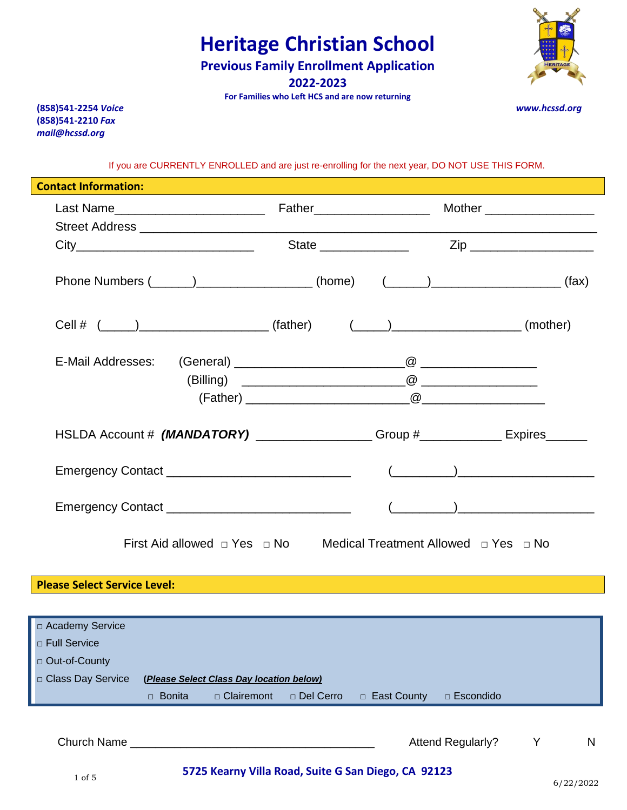**Previous Family Enrollment Application** 

**2022-2023**

**For Families who Left HCS and are now returning**

**(858)541-2254** *Voice www.hcssd.org* **(858)541-2210** *Fax mail@hcssd.org*

If you are CURRENTLY ENROLLED and are just re-enrolling for the next year, DO NOT USE THIS FORM.

| <b>Contact Information:</b>                                                           |  |  |  |                                                                                       |  |
|---------------------------------------------------------------------------------------|--|--|--|---------------------------------------------------------------------------------------|--|
|                                                                                       |  |  |  |                                                                                       |  |
|                                                                                       |  |  |  |                                                                                       |  |
|                                                                                       |  |  |  |                                                                                       |  |
|                                                                                       |  |  |  |                                                                                       |  |
|                                                                                       |  |  |  | Phone Numbers (______)_____________________(home) (______)______________________(fax) |  |
|                                                                                       |  |  |  |                                                                                       |  |
|                                                                                       |  |  |  | Cell # $(\_\_\_\_)$ (father) $(\_\_\_\_)$ (mother) (mother)                           |  |
|                                                                                       |  |  |  |                                                                                       |  |
|                                                                                       |  |  |  |                                                                                       |  |
|                                                                                       |  |  |  |                                                                                       |  |
|                                                                                       |  |  |  |                                                                                       |  |
|                                                                                       |  |  |  |                                                                                       |  |
|                                                                                       |  |  |  | HSLDA Account # (MANDATORY) _________________Group #_____________Expires_______       |  |
|                                                                                       |  |  |  |                                                                                       |  |
|                                                                                       |  |  |  |                                                                                       |  |
|                                                                                       |  |  |  |                                                                                       |  |
|                                                                                       |  |  |  |                                                                                       |  |
| First Aid allowed $\Box$ Yes $\Box$ No Medical Treatment Allowed $\Box$ Yes $\Box$ No |  |  |  |                                                                                       |  |
|                                                                                       |  |  |  |                                                                                       |  |
| <b>Please Select Service Level:</b>                                                   |  |  |  |                                                                                       |  |
|                                                                                       |  |  |  |                                                                                       |  |
| □ Academy Service                                                                     |  |  |  |                                                                                       |  |
| □ Full Service                                                                        |  |  |  |                                                                                       |  |
| □ Out-of-County                                                                       |  |  |  |                                                                                       |  |
| □ Class Day Service<br>(Please Select Class Day location below)                       |  |  |  |                                                                                       |  |
| □ Clairemont<br>□ Del Cerro<br>□ East County<br>□ Escondido<br>□ Bonita               |  |  |  |                                                                                       |  |
|                                                                                       |  |  |  |                                                                                       |  |
| <b>Church Name</b>                                                                    |  |  |  | <b>Attend Regularly?</b><br>Υ<br>N                                                    |  |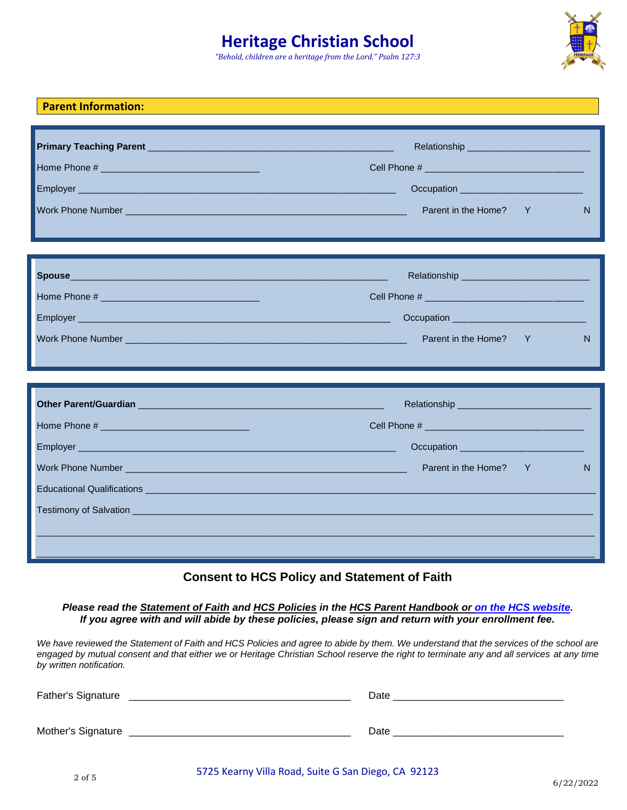*"Behold, children are a heritage from the Lord." Psalm 127:3*



|                                                                                                                                                                                                                                | Parent in the Home?<br>Y                                                                                                                                                                                                             | N |
|--------------------------------------------------------------------------------------------------------------------------------------------------------------------------------------------------------------------------------|--------------------------------------------------------------------------------------------------------------------------------------------------------------------------------------------------------------------------------------|---|
|                                                                                                                                                                                                                                | Relationship ____________________                                                                                                                                                                                                    |   |
|                                                                                                                                                                                                                                |                                                                                                                                                                                                                                      |   |
|                                                                                                                                                                                                                                |                                                                                                                                                                                                                                      |   |
| Work Phone Number Number Number 2008 and 2009 and 2009 and 2009 and 2009 and 2009 and 2009 and 2009 and 2009 and 2009 and 2009 and 2009 and 2009 and 2009 and 2009 and 2009 and 2009 and 2009 and 2009 and 2009 and 2009 and 2 | Parent in the Home?<br>Y                                                                                                                                                                                                             | N |
|                                                                                                                                                                                                                                |                                                                                                                                                                                                                                      |   |
|                                                                                                                                                                                                                                |                                                                                                                                                                                                                                      |   |
|                                                                                                                                                                                                                                |                                                                                                                                                                                                                                      |   |
|                                                                                                                                                                                                                                | Occupation <u>example and the set of the set of the set of the set of the set of the set of the set of the set of the set of the set of the set of the set of the set of the set of the set of the set of the set of the set of </u> |   |
|                                                                                                                                                                                                                                | Parent in the Home?<br>Y                                                                                                                                                                                                             | N |
|                                                                                                                                                                                                                                |                                                                                                                                                                                                                                      |   |
|                                                                                                                                                                                                                                |                                                                                                                                                                                                                                      |   |
|                                                                                                                                                                                                                                |                                                                                                                                                                                                                                      |   |
|                                                                                                                                                                                                                                |                                                                                                                                                                                                                                      |   |

## **Consent to HCS Policy and Statement of Faith**

*Please read the Statement of Faith and HCS Policies in the HCS Parent Handbook or [on the HCS website.](https://hcssd.org/images/Weblinks/Statement_of_Faith_and_School_Policies1-17-19.pdf) If you agree with and will abide by these policies, please sign and return with your enrollment fee.*

We have reviewed the Statement of Faith and HCS Policies and agree to abide by them. We understand that the services of the school are *engaged by mutual consent and that either we or Heritage Christian School reserve the right to terminate any and all services at any time by written notification.* 

| Father's Signature | Date |
|--------------------|------|
| Mother's Signature | Date |

**Parent Information:**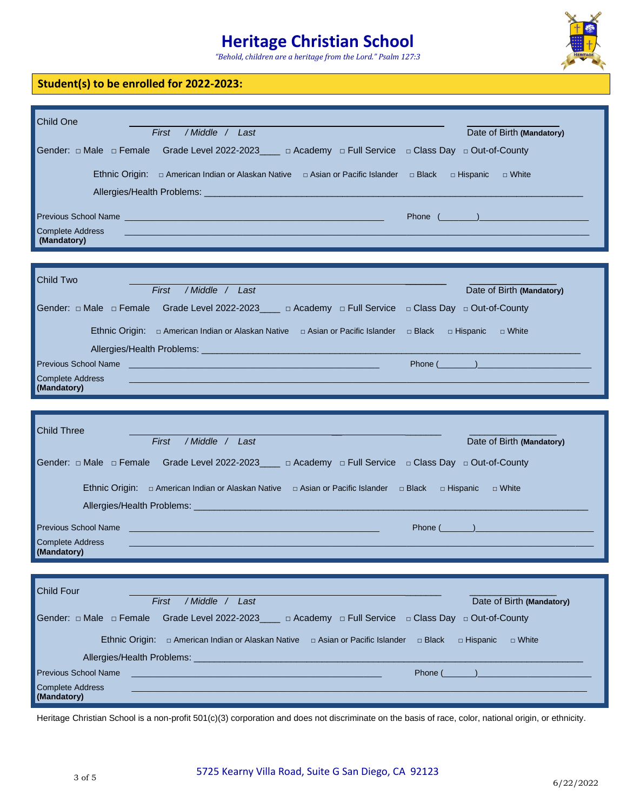*"Behold, children are a heritage from the Lord." Psalm 127:3*



### **Student(s) to be enrolled for 2022-2023:**

| /Middle / Last<br>First<br>Date of Birth (Mandatory)                                                                                                                                                                                                          |
|---------------------------------------------------------------------------------------------------------------------------------------------------------------------------------------------------------------------------------------------------------------|
| Gender: $\Box$ Male $\Box$ Female Grade Level 2022-2023 ___ $\Box$ Academy $\Box$ Full Service $\Box$ Class Day $\Box$ Out-of-County                                                                                                                          |
| Ethnic Origin: $\Box$ American Indian or Alaskan Native $\Box$ Asian or Pacific Islander $\Box$ Black<br>□ Hispanic □ White                                                                                                                                   |
|                                                                                                                                                                                                                                                               |
| Previous School Name                                                                                                                                                                                                                                          |
| <b>Complete Address</b><br>(Mandatory)                                                                                                                                                                                                                        |
|                                                                                                                                                                                                                                                               |
| <b>Child Two</b>                                                                                                                                                                                                                                              |
| /Middle / Last<br>First<br>Date of Birth (Mandatory)                                                                                                                                                                                                          |
| Gender: $\Box$ Male $\Box$ Female Grade Level 2022-2023____ $\Box$ Academy $\Box$ Full Service $\Box$ Class Day $\Box$ Out-of-County                                                                                                                          |
| Ethnic Origin: □ American Indian or Alaskan Native □ Asian or Pacific Islander □ Black □ Hispanic<br>$\Box$ White                                                                                                                                             |
|                                                                                                                                                                                                                                                               |
| <b>Phone</b> (and a set of the set of the set of the set of the set of the set of the set of the set of the set of the set of the set of the set of the set of the set of the set of the set of the set of the set of the set of th<br>Previous School Name   |
| <b>Complete Address</b><br>(Mandatory)                                                                                                                                                                                                                        |
|                                                                                                                                                                                                                                                               |
|                                                                                                                                                                                                                                                               |
|                                                                                                                                                                                                                                                               |
| <b>Child Three</b>                                                                                                                                                                                                                                            |
| First<br>/Middle / Last<br>Date of Birth (Mandatory)                                                                                                                                                                                                          |
| Gender: $\Box$ Male $\Box$ Female Grade Level 2022-2023____ $\Box$ Academy $\Box$ Full Service $\Box$ Class Day $\Box$ Out-of-County                                                                                                                          |
| Ethnic Origin: $\Box$ American Indian or Alaskan Native $\Box$ Asian or Pacific Islander $\Box$ Black $\Box$ Hispanic<br>□ White                                                                                                                              |
|                                                                                                                                                                                                                                                               |
|                                                                                                                                                                                                                                                               |
| <b>Previous School Name Contract Contract Contract Contract Contract Contract Contract Contract Contract Contract Contract Contract Contract Contract Contract Contract Contract Contract Contract Contract Contract Contract </b><br><b>Complete Address</b> |
| (Mandatory)                                                                                                                                                                                                                                                   |
|                                                                                                                                                                                                                                                               |
| Child Four                                                                                                                                                                                                                                                    |
| /Middle / Last<br>First<br>Date of Birth (Mandatory)                                                                                                                                                                                                          |
| Gender: $\Box$ Male $\Box$ Female Grade Level 2022-2023____ $\Box$ Academy $\Box$ Full Service $\Box$ Class Day $\Box$ Out-of-County                                                                                                                          |
| Ethnic Origin: $\Box$ American Indian or Alaskan Native $\Box$ Asian or Pacific Islander $\Box$ Black<br>□ Hispanic<br>$\Box$ White                                                                                                                           |
| Allergies/Health Problems: _<br>$\mathcal{L}^{\text{max}}_{\text{max}}$ and $\mathcal{L}^{\text{max}}_{\text{max}}$ and $\mathcal{L}^{\text{max}}_{\text{max}}$ and $\mathcal{L}^{\text{max}}_{\text{max}}$                                                   |
| <b>Previous School Name</b><br>Phone $($                                                                                                                                                                                                                      |

Heritage Christian School is a non-profit 501(c)(3) corporation and does not discriminate on the basis of race, color, national origin, or ethnicity.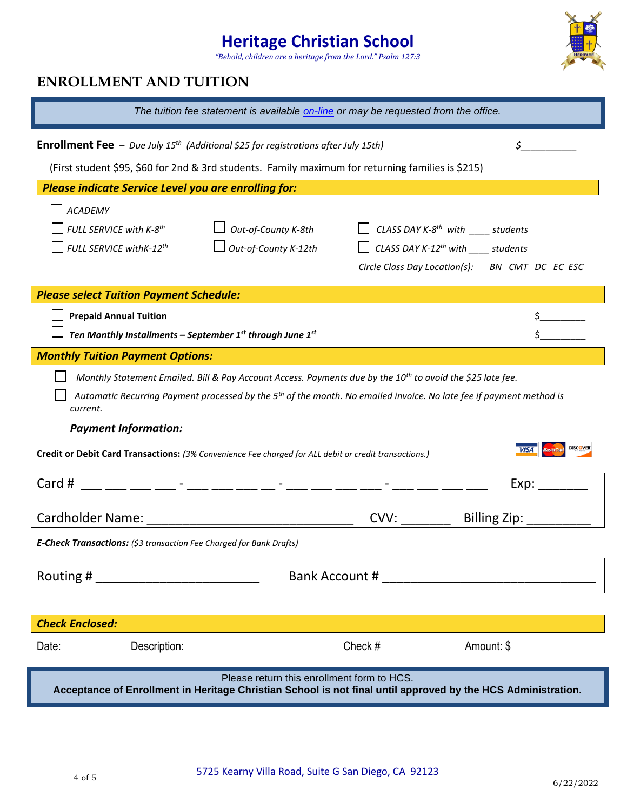*"Behold, children are a heritage from the Lord." Psalm 127:3*



## **ENROLLMENT AND TUITION**

| The tuition fee statement is available on-line or may be requested from the office.                                                                        |                      |                                                                                                               |                                                |  |  |  |
|------------------------------------------------------------------------------------------------------------------------------------------------------------|----------------------|---------------------------------------------------------------------------------------------------------------|------------------------------------------------|--|--|--|
| <b>Enrollment Fee</b> - Due July 15 <sup>th</sup> (Additional \$25 for registrations after July 15th)                                                      |                      |                                                                                                               |                                                |  |  |  |
| (First student \$95, \$60 for 2nd & 3rd students. Family maximum for returning families is \$215)                                                          |                      |                                                                                                               |                                                |  |  |  |
| <b>Please indicate Service Level you are enrolling for:</b>                                                                                                |                      |                                                                                                               |                                                |  |  |  |
| <b>ACADEMY</b>                                                                                                                                             |                      |                                                                                                               |                                                |  |  |  |
| FULL SERVICE with K-8 <sup>th</sup>                                                                                                                        | Out-of-County K-8th  | CLASS DAY K-8 <sup>th</sup> with ______ students                                                              |                                                |  |  |  |
| FULL SERVICE with K-12 <sup>th</sup>                                                                                                                       | Out-of-County K-12th | CLASS DAY K-12 <sup>th</sup> with ______ students                                                             |                                                |  |  |  |
|                                                                                                                                                            |                      |                                                                                                               | Circle Class Day Location(s): BN CMT DC EC ESC |  |  |  |
| <b>Please select Tuition Payment Schedule:</b>                                                                                                             |                      |                                                                                                               |                                                |  |  |  |
| <b>Prepaid Annual Tuition</b>                                                                                                                              |                      |                                                                                                               |                                                |  |  |  |
| Ten Monthly Installments - September $1^{st}$ through June $1^{st}$                                                                                        |                      |                                                                                                               |                                                |  |  |  |
| <b>Monthly Tuition Payment Options:</b>                                                                                                                    |                      |                                                                                                               |                                                |  |  |  |
| Monthly Statement Emailed. Bill & Pay Account Access. Payments due by the 10 <sup>th</sup> to avoid the \$25 late fee.                                     |                      |                                                                                                               |                                                |  |  |  |
| Automatic Recurring Payment processed by the 5 <sup>th</sup> of the month. No emailed invoice. No late fee if payment method is<br>current.                |                      |                                                                                                               |                                                |  |  |  |
| <b>Payment Information:</b>                                                                                                                                |                      |                                                                                                               |                                                |  |  |  |
| Credit or Debit Card Transactions: (3% Convenience Fee charged for ALL debit or credit transactions.)                                                      |                      |                                                                                                               |                                                |  |  |  |
| Card #<br>__ ___ ___ ___ - ___ - ___ ___ __ - ___ ___ ___                                                                                                  |                      |                                                                                                               | Exp:                                           |  |  |  |
|                                                                                                                                                            |                      | CVV:                                                                                                          | Billing Zip: _                                 |  |  |  |
| E-Check Transactions: (\$3 transaction Fee Charged for Bank Drafts)                                                                                        |                      |                                                                                                               |                                                |  |  |  |
| Routing #                                                                                                                                                  |                      | Bank Account # 2008 and 2008 and 2008 and 2008 and 2008 and 2008 and 2008 and 2008 and 2008 and 2008 and 2008 |                                                |  |  |  |
|                                                                                                                                                            |                      |                                                                                                               |                                                |  |  |  |
| <b>Check Enclosed:</b>                                                                                                                                     |                      |                                                                                                               |                                                |  |  |  |
| Description:<br>Date:                                                                                                                                      |                      | Check #                                                                                                       | Amount: \$                                     |  |  |  |
| Please return this enrollment form to HCS.<br>Acceptance of Enrollment in Heritage Christian School is not final until approved by the HCS Administration. |                      |                                                                                                               |                                                |  |  |  |